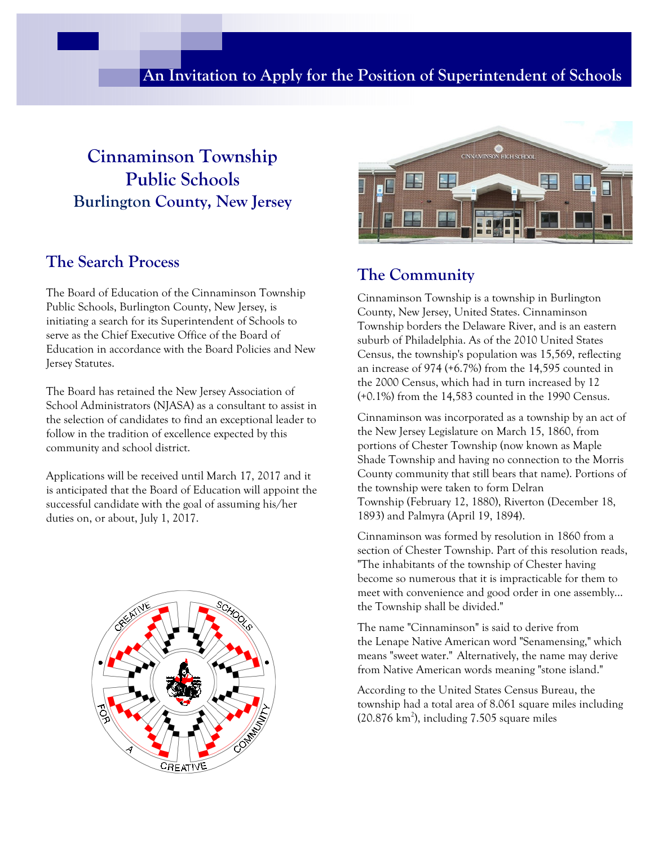#### **An Invitation to Apply for the Position of Superintendent of Schools**

## **Cinnaminson Township Public Schools Burlington County, New Jersey**

#### **The Search Process**

The Board of Education of the Cinnaminson Township Public Schools, Burlington County, New Jersey, is initiating a search for its Superintendent of Schools to serve as the Chief Executive Office of the Board of Education in accordance with the Board Policies and New Jersey Statutes.

The Board has retained the New Jersey Association of School Administrators (NJASA) as a consultant to assist in the selection of candidates to find an exceptional leader to follow in the tradition of excellence expected by this community and school district.

Applications will be received until March 17, 2017 and it is anticipated that the Board of Education will appoint the successful candidate with the goal of assuming his/her duties on, or about, July 1, 2017.





#### **The Community**

Cinnaminson Township is a township in Burlington County, New Jersey, United States. Cinnaminson Township borders the Delaware River, and is an eastern suburb of Philadelphia. As of the 2010 United States Census, the township's population was 15,569, reflecting an increase of 974 (+6.7%) from the 14,595 counted in the 2000 Census, which had in turn increased by 12 (+0.1%) from the 14,583 counted in the 1990 Census.

Cinnaminson was incorporated as a township by an act of the New Jersey Legislature on March 15, 1860, from portions of Chester Township (now known as Maple Shade Township and having no connection to the Morris County community that still bears that name). Portions of the township were taken to form Delran Township (February 12, 1880), Riverton (December 18, 1893) and Palmyra (April 19, 1894).

Cinnaminson was formed by resolution in 1860 from a section of Chester Township. Part of this resolution reads, "The inhabitants of the township of Chester having become so numerous that it is impracticable for them to meet with convenience and good order in one assembly... the Township shall be divided."

The name "Cinnaminson" is said to derive from the Lenape Native American word "Senamensing," which means "sweet water." Alternatively, the name may derive from Native American words meaning "stone island."

According to the United States Census Bureau, the township had a total area of 8.061 square miles including  $(20.876 \text{ km}^2)$ , including 7.505 square miles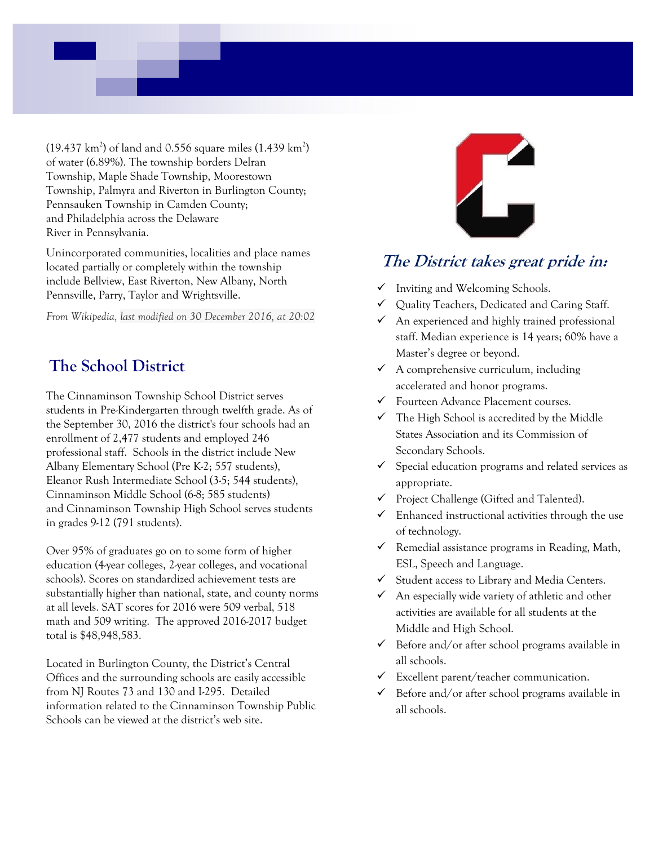$(19.437 \text{ km}^2)$  of land and 0.556 square miles  $(1.439 \text{ km}^2)$ of water (6.89%). The township borders Delran Township, Maple Shade Township, Moorestown Township, Palmyra and Riverton in Burlington County; Pennsauken Township in Camden County; and Philadelphia across the Delaware River in Pennsylvania.

Unincorporated communities, localities and place names located partially or completely within the township include Bellview, East Riverton, New Albany, North Pennsville, Parry, Taylor and Wrightsville.

*From Wikipedia, last modified on 30 December 2016, at 20:02*

### **The School District**

The Cinnaminson Township School District serves students in Pre-Kindergarten through twelfth grade. As of the September 30, 2016 the district's four schools had an enrollment of 2,477 students and employed 246 professional staff. Schools in the district include New Albany Elementary School (Pre K-2; 557 students), Eleanor Rush Intermediate School (3-5; 544 students), Cinnaminson Middle School (6-8; 585 students) and Cinnaminson Township High School serves students in grades 9-12 (791 students).

Over 95% of graduates go on to some form of higher education (4-year colleges, 2-year colleges, and vocational schools). Scores on standardized achievement tests are substantially higher than national, state, and county norms at all levels. SAT scores for 2016 were 509 verbal, 518 math and 509 writing. The approved 2016-2017 budget total is \$48,948,583.

Located in Burlington County, the District's Central Offices and the surrounding schools are easily accessible from NJ Routes 73 and 130 and I-295. Detailed information related to the Cinnaminson Township Public Schools can be viewed at the district's web site.



#### **The District takes great pride in:**

- $\checkmark$  Inviting and Welcoming Schools.
- $\checkmark$  Quality Teachers, Dedicated and Caring Staff.
- $\checkmark$  An experienced and highly trained professional staff. Median experience is 14 years; 60% have a Master's degree or beyond.
- $\checkmark$  A comprehensive curriculum, including accelerated and honor programs.
- Fourteen Advance Placement courses.
- $\checkmark$  The High School is accredited by the Middle States Association and its Commission of Secondary Schools.
- $\checkmark$  Special education programs and related services as appropriate.
- Project Challenge (Gifted and Talented).
- $\checkmark$  Enhanced instructional activities through the use of technology.
- $\checkmark$  Remedial assistance programs in Reading, Math, ESL, Speech and Language.
- $\checkmark$  Student access to Library and Media Centers.
- $\checkmark$  An especially wide variety of athletic and other activities are available for all students at the Middle and High School.
- $\checkmark$  Before and/or after school programs available in all schools.
- $\checkmark$  Excellent parent/teacher communication.
- $\checkmark$  Before and/or after school programs available in all schools.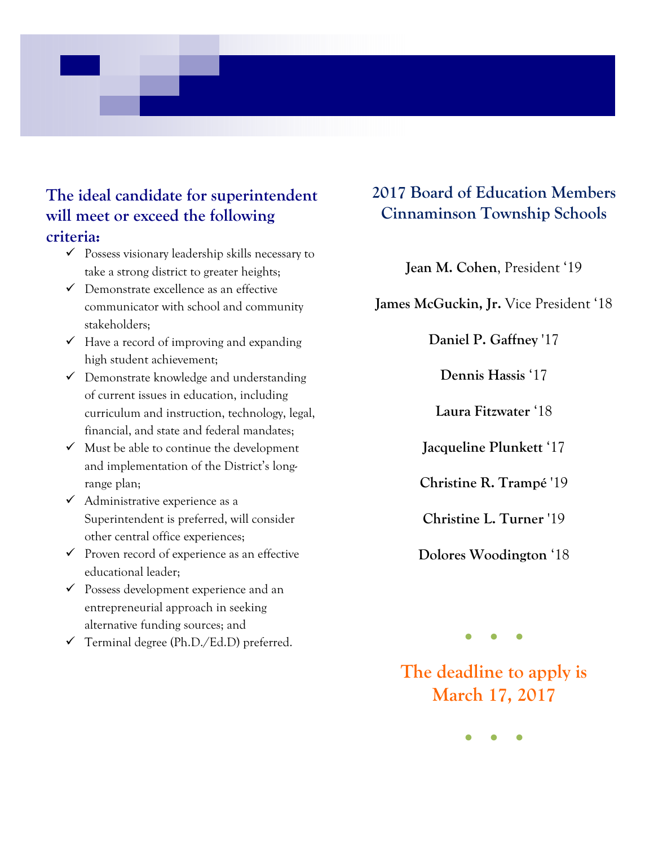### **The ideal candidate for superintendent will meet or exceed the following criteria:**

- $\checkmark$  Possess visionary leadership skills necessary to take a strong district to greater heights;
- $\checkmark$  Demonstrate excellence as an effective communicator with school and community stakeholders;
- $\checkmark$  Have a record of improving and expanding high student achievement;
- $\checkmark$  Demonstrate knowledge and understanding of current issues in education, including curriculum and instruction, technology, legal, financial, and state and federal mandates;
- $\checkmark$  Must be able to continue the development and implementation of the District's longrange plan;
- $\checkmark$  Administrative experience as a Superintendent is preferred, will consider other central office experiences;
- $\checkmark$  Proven record of experience as an effective educational leader;
- Possess development experience and an entrepreneurial approach in seeking alternative funding sources; and
- $\checkmark$  Terminal degree (Ph.D./Ed.D) preferred.

### **2017 Board of Education Members Cinnaminson Township Schools**

**Jean M. Cohen**, President '19

**James McGuckin, Jr.** Vice President '18

**Daniel P. Gaffney** '17

**Dennis Hassis** '17

**Laura Fitzwater** '18

**Jacqueline Plunkett** '17

**Christine R. Trampé** '19

**Christine L. Turner** '19

**Dolores Woodington** '18

**●●●**

**The deadline to apply is March 17, 2017** 

**●●●**